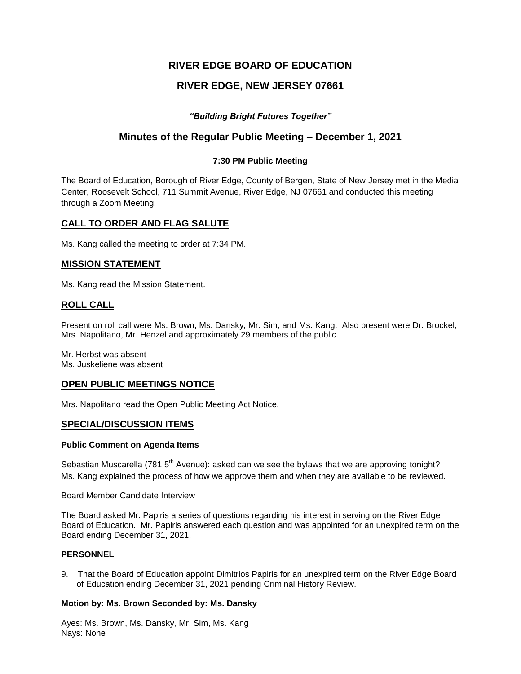# **RIVER EDGE BOARD OF EDUCATION**

# **RIVER EDGE, NEW JERSEY 07661**

# *"Building Bright Futures Together"*

# **Minutes of the Regular Public Meeting – December 1, 2021**

## **7:30 PM Public Meeting**

The Board of Education, Borough of River Edge, County of Bergen, State of New Jersey met in the Media Center, Roosevelt School, 711 Summit Avenue, River Edge, NJ 07661 and conducted this meeting through a Zoom Meeting.

# **CALL TO ORDER AND FLAG SALUTE**

Ms. Kang called the meeting to order at 7:34 PM.

## **MISSION STATEMENT**

Ms. Kang read the Mission Statement.

# **ROLL CALL**

Present on roll call were Ms. Brown, Ms. Dansky, Mr. Sim, and Ms. Kang. Also present were Dr. Brockel, Mrs. Napolitano, Mr. Henzel and approximately 29 members of the public.

Mr. Herbst was absent Ms. Juskeliene was absent

## **OPEN PUBLIC MEETINGS NOTICE**

Mrs. Napolitano read the Open Public Meeting Act Notice.

## **SPECIAL/DISCUSSION ITEMS**

## **Public Comment on Agenda Items**

Sebastian Muscarella (781 5<sup>th</sup> Avenue): asked can we see the bylaws that we are approving tonight? Ms. Kang explained the process of how we approve them and when they are available to be reviewed.

## Board Member Candidate Interview

The Board asked Mr. Papiris a series of questions regarding his interest in serving on the River Edge Board of Education. Mr. Papiris answered each question and was appointed for an unexpired term on the Board ending December 31, 2021.

## **PERSONNEL**

9. That the Board of Education appoint Dimitrios Papiris for an unexpired term on the River Edge Board of Education ending December 31, 2021 pending Criminal History Review.

## **Motion by: Ms. Brown Seconded by: Ms. Dansky**

Ayes: Ms. Brown, Ms. Dansky, Mr. Sim, Ms. Kang Nays: None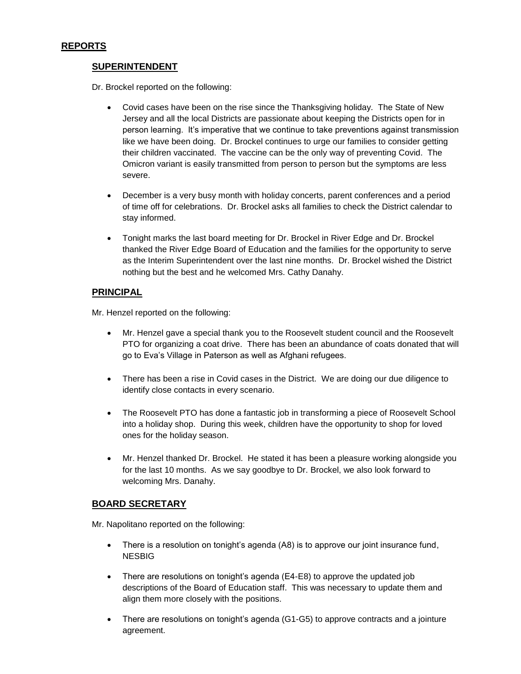# **REPORTS**

# **SUPERINTENDENT**

Dr. Brockel reported on the following:

- Covid cases have been on the rise since the Thanksgiving holiday. The State of New Jersey and all the local Districts are passionate about keeping the Districts open for in person learning. It's imperative that we continue to take preventions against transmission like we have been doing. Dr. Brockel continues to urge our families to consider getting their children vaccinated. The vaccine can be the only way of preventing Covid. The Omicron variant is easily transmitted from person to person but the symptoms are less severe.
- December is a very busy month with holiday concerts, parent conferences and a period of time off for celebrations. Dr. Brockel asks all families to check the District calendar to stay informed.
- Tonight marks the last board meeting for Dr. Brockel in River Edge and Dr. Brockel thanked the River Edge Board of Education and the families for the opportunity to serve as the Interim Superintendent over the last nine months. Dr. Brockel wished the District nothing but the best and he welcomed Mrs. Cathy Danahy.

# **PRINCIPAL**

Mr. Henzel reported on the following:

- Mr. Henzel gave a special thank you to the Roosevelt student council and the Roosevelt PTO for organizing a coat drive. There has been an abundance of coats donated that will go to Eva's Village in Paterson as well as Afghani refugees.
- There has been a rise in Covid cases in the District. We are doing our due diligence to identify close contacts in every scenario.
- The Roosevelt PTO has done a fantastic job in transforming a piece of Roosevelt School into a holiday shop. During this week, children have the opportunity to shop for loved ones for the holiday season.
- Mr. Henzel thanked Dr. Brockel. He stated it has been a pleasure working alongside you for the last 10 months. As we say goodbye to Dr. Brockel, we also look forward to welcoming Mrs. Danahy.

# **BOARD SECRETARY**

Mr. Napolitano reported on the following:

- There is a resolution on tonight's agenda (A8) is to approve our joint insurance fund, NESBIG
- There are resolutions on tonight's agenda (E4-E8) to approve the updated job descriptions of the Board of Education staff. This was necessary to update them and align them more closely with the positions.
- There are resolutions on tonight's agenda (G1-G5) to approve contracts and a jointure agreement.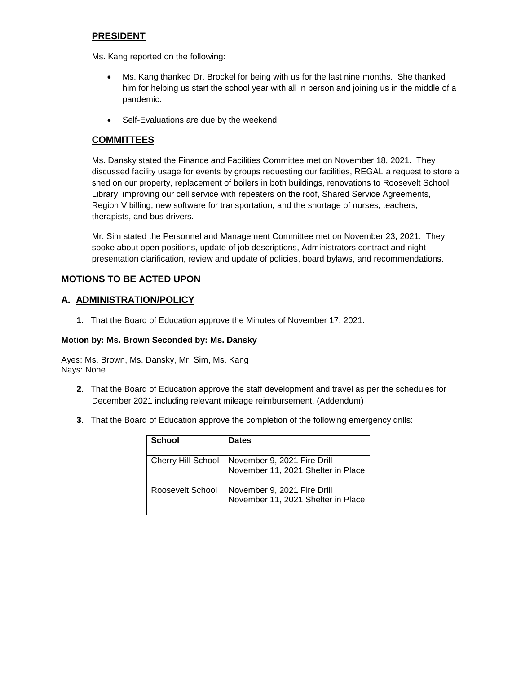# **PRESIDENT**

Ms. Kang reported on the following:

- Ms. Kang thanked Dr. Brockel for being with us for the last nine months. She thanked him for helping us start the school year with all in person and joining us in the middle of a pandemic.
- Self-Evaluations are due by the weekend

# **COMMITTEES**

Ms. Dansky stated the Finance and Facilities Committee met on November 18, 2021. They discussed facility usage for events by groups requesting our facilities, REGAL a request to store a shed on our property, replacement of boilers in both buildings, renovations to Roosevelt School Library, improving our cell service with repeaters on the roof, Shared Service Agreements, Region V billing, new software for transportation, and the shortage of nurses, teachers, therapists, and bus drivers.

Mr. Sim stated the Personnel and Management Committee met on November 23, 2021. They spoke about open positions, update of job descriptions, Administrators contract and night presentation clarification, review and update of policies, board bylaws, and recommendations.

# **MOTIONS TO BE ACTED UPON**

# **A. ADMINISTRATION/POLICY**

**1**. That the Board of Education approve the Minutes of November 17, 2021.

## **Motion by: Ms. Brown Seconded by: Ms. Dansky**

Ayes: Ms. Brown, Ms. Dansky, Mr. Sim, Ms. Kang Nays: None

- **2**. That the Board of Education approve the staff development and travel as per the schedules for December 2021 including relevant mileage reimbursement. (Addendum)
- **3**. That the Board of Education approve the completion of the following emergency drills:

| <b>School</b>    | <b>Dates</b>                                                                         |
|------------------|--------------------------------------------------------------------------------------|
|                  | Cherry Hill School November 9, 2021 Fire Drill<br>November 11, 2021 Shelter in Place |
| Roosevelt School | November 9, 2021 Fire Drill<br>November 11, 2021 Shelter in Place                    |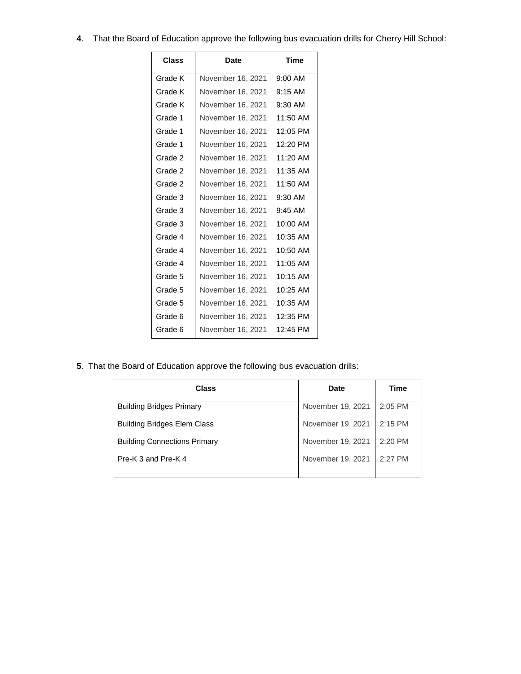**4**. That the Board of Education approve the following bus evacuation drills for Cherry Hill School:

| Class   | Date              | Time       |
|---------|-------------------|------------|
| Grade K | November 16, 2021 | 9:00 AM    |
| Grade K | November 16, 2021 | $9:15$ AM  |
| Grade K | November 16, 2021 | $9:30$ AM  |
| Grade 1 | November 16, 2021 | 11:50 AM   |
| Grade 1 | November 16, 2021 | 12:05 PM   |
| Grade 1 | November 16, 2021 | 12:20 PM   |
| Grade 2 | November 16, 2021 | $11:20$ AM |
| Grade 2 | November 16, 2021 | 11:35 AM   |
| Grade 2 | November 16, 2021 | $11:50$ AM |
| Grade 3 | November 16, 2021 | $9:30$ AM  |
| Grade 3 | November 16, 2021 | $9:45$ AM  |
| Grade 3 | November 16, 2021 | 10:00 AM   |
| Grade 4 | November 16, 2021 | 10:35 AM   |
| Grade 4 | November 16, 2021 | 10:50 AM   |
| Grade 4 | November 16, 2021 | $11:05$ AM |
| Grade 5 | November 16, 2021 | 10:15 AM   |
| Grade 5 | November 16, 2021 | 10:25 AM   |
| Grade 5 | November 16, 2021 | 10:35 AM   |
| Grade 6 | November 16, 2021 | 12:35 PM   |
| Grade 6 | November 16, 2021 | 12:45 PM   |

**5**. That the Board of Education approve the following bus evacuation drills:

| Class                               | <b>Date</b>       | <b>Time</b> |
|-------------------------------------|-------------------|-------------|
| <b>Building Bridges Primary</b>     | November 19, 2021 | $2:05$ PM   |
| <b>Building Bridges Elem Class</b>  | November 19, 2021 | $2:15$ PM   |
| <b>Building Connections Primary</b> | November 19, 2021 | 2:20 PM     |
| Pre-K 3 and Pre-K 4                 | November 19, 2021 | $2:27$ PM   |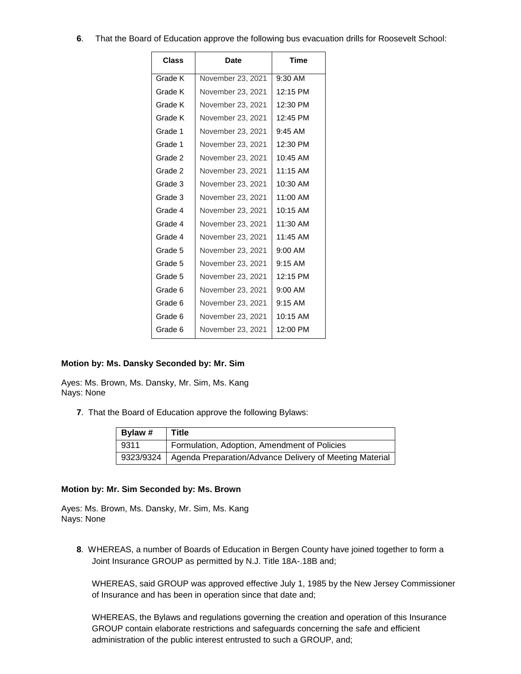**6**. That the Board of Education approve the following bus evacuation drills for Roosevelt School:

| Class   | Date              | Time       |
|---------|-------------------|------------|
| Grade K | November 23, 2021 | $9:30$ AM  |
| Grade K | November 23. 2021 | 12:15 PM   |
| Grade K | November 23, 2021 | 12:30 PM   |
| Grade K | November 23, 2021 | 12:45 PM   |
| Grade 1 | November 23, 2021 | $9:45$ AM  |
| Grade 1 | November 23, 2021 | 12:30 PM   |
| Grade 2 | November 23, 2021 | $10:45$ AM |
| Grade 2 | November 23, 2021 | $11:15$ AM |
| Grade 3 | November 23, 2021 | $10:30$ AM |
| Grade 3 | November 23, 2021 | 11:00 AM   |
| Grade 4 | November 23, 2021 | $10:15$ AM |
| Grade 4 | November 23, 2021 | 11:30 AM   |
| Grade 4 | November 23, 2021 | $11:45$ AM |
| Grade 5 | November 23, 2021 | $9:00$ AM  |
| Grade 5 | November 23, 2021 | $9:15$ AM  |
| Grade 5 | November 23, 2021 | 12:15 PM   |
| Grade 6 | November 23, 2021 | $9:00$ AM  |
| Grade 6 | November 23, 2021 | $9:15$ AM  |
| Grade 6 | November 23, 2021 | $10:15$ AM |
| Grade 6 | November 23, 2021 | 12:00 PM   |

## **Motion by: Ms. Dansky Seconded by: Mr. Sim**

Ayes: Ms. Brown, Ms. Dansky, Mr. Sim, Ms. Kang Nays: None

**7**. That the Board of Education approve the following Bylaws:

| Bylaw # | Title                                                               |
|---------|---------------------------------------------------------------------|
| 9311    | Formulation, Adoption, Amendment of Policies                        |
|         | 9323/9324   Agenda Preparation/Advance Delivery of Meeting Material |

## **Motion by: Mr. Sim Seconded by: Ms. Brown**

Ayes: Ms. Brown, Ms. Dansky, Mr. Sim, Ms. Kang Nays: None

**8**. WHEREAS, a number of Boards of Education in Bergen County have joined together to form a Joint Insurance GROUP as permitted by N.J. Title 18A-.18B and;

WHEREAS, said GROUP was approved effective July 1, 1985 by the New Jersey Commissioner of Insurance and has been in operation since that date and;

WHEREAS, the Bylaws and regulations governing the creation and operation of this Insurance GROUP contain elaborate restrictions and safeguards concerning the safe and efficient administration of the public interest entrusted to such a GROUP, and;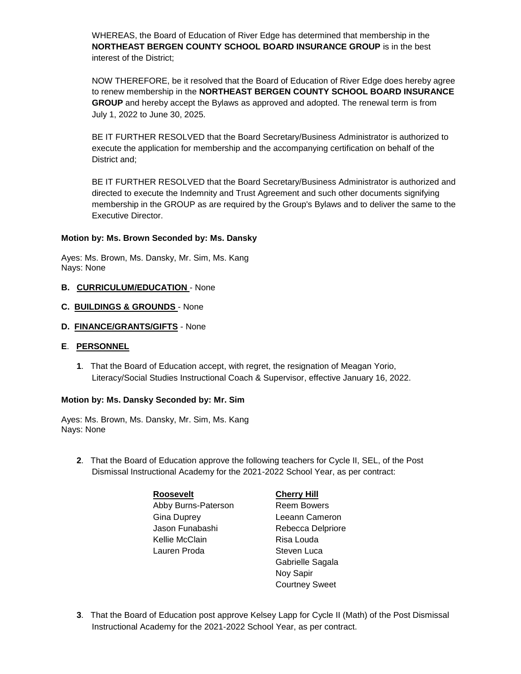WHEREAS, the Board of Education of River Edge has determined that membership in the **NORTHEAST BERGEN COUNTY SCHOOL BOARD INSURANCE GROUP** is in the best interest of the District;

NOW THEREFORE, be it resolved that the Board of Education of River Edge does hereby agree to renew membership in the **NORTHEAST BERGEN COUNTY SCHOOL BOARD INSURANCE GROUP** and hereby accept the Bylaws as approved and adopted. The renewal term is from July 1, 2022 to June 30, 2025.

BE IT FURTHER RESOLVED that the Board Secretary/Business Administrator is authorized to execute the application for membership and the accompanying certification on behalf of the District and;

BE IT FURTHER RESOLVED that the Board Secretary/Business Administrator is authorized and directed to execute the Indemnity and Trust Agreement and such other documents signifying membership in the GROUP as are required by the Group's Bylaws and to deliver the same to the Executive Director.

## **Motion by: Ms. Brown Seconded by: Ms. Dansky**

Ayes: Ms. Brown, Ms. Dansky, Mr. Sim, Ms. Kang Nays: None

- **B. CURRICULUM/EDUCATION**  None
- **C. BUILDINGS & GROUNDS**  None
- **D. FINANCE/GRANTS/GIFTS** None

## **E**. **PERSONNEL**

**1**. That the Board of Education accept, with regret, the resignation of Meagan Yorio, Literacy/Social Studies Instructional Coach & Supervisor, effective January 16, 2022.

## **Motion by: Ms. Dansky Seconded by: Mr. Sim**

Ayes: Ms. Brown, Ms. Dansky, Mr. Sim, Ms. Kang Nays: None

**2**. That the Board of Education approve the following teachers for Cycle II, SEL, of the Post Dismissal Instructional Academy for the 2021-2022 School Year, as per contract:

> **Roosevelt Cherry Hill** Abby Burns-Paterson Reem Bowers Gina Duprey Leeann Cameron Jason Funabashi Rebecca Delpriore Kellie McClain **Risa Louda** Lauren Proda<br>
> Steven Luca

- Gabrielle Sagala Noy Sapir Courtney Sweet
- **3**. That the Board of Education post approve Kelsey Lapp for Cycle II (Math) of the Post Dismissal Instructional Academy for the 2021-2022 School Year, as per contract.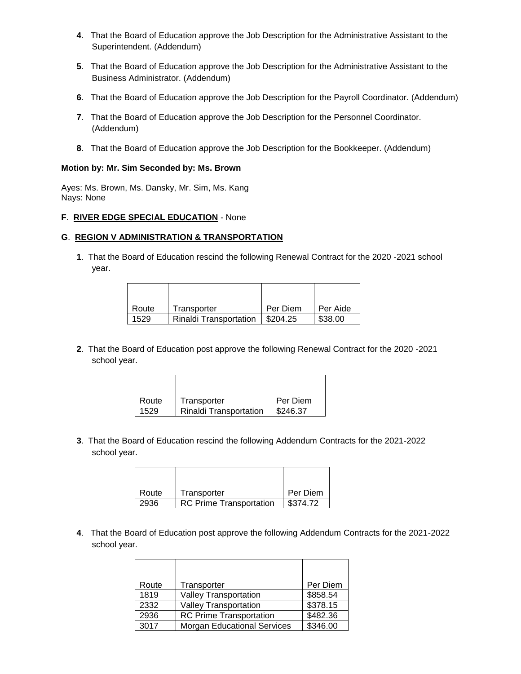- **4**. That the Board of Education approve the Job Description for the Administrative Assistant to the Superintendent. (Addendum)
- **5**. That the Board of Education approve the Job Description for the Administrative Assistant to the Business Administrator. (Addendum)
- **6**. That the Board of Education approve the Job Description for the Payroll Coordinator. (Addendum)
- **7**. That the Board of Education approve the Job Description for the Personnel Coordinator. (Addendum)
- **8**. That the Board of Education approve the Job Description for the Bookkeeper. (Addendum)

## **Motion by: Mr. Sim Seconded by: Ms. Brown**

Ayes: Ms. Brown, Ms. Dansky, Mr. Sim, Ms. Kang Nays: None

## **F**. **RIVER EDGE SPECIAL EDUCATION** - None

#### **G**. **REGION V ADMINISTRATION & TRANSPORTATION**

**1**. That the Board of Education rescind the following Renewal Contract for the 2020 -2021 school year.

| Route | Transporter                   | Per Diem               | Per Aide |
|-------|-------------------------------|------------------------|----------|
| 1529  | <b>Rinaldi Transportation</b> | $\frac{1}{2}$ \$204.25 | \$38.00  |

**2**. That the Board of Education post approve the following Renewal Contract for the 2020 -2021 school year.

| Route | Transporter                   | Per Diem |
|-------|-------------------------------|----------|
| 1529  | <b>Rinaldi Transportation</b> | \$246.37 |

**3**. That the Board of Education rescind the following Addendum Contracts for the 2021-2022 school year.

| Route | Transporter                    | Per Diem |
|-------|--------------------------------|----------|
| 2936  | <b>RC Prime Transportation</b> | \$374.72 |

**4**. That the Board of Education post approve the following Addendum Contracts for the 2021-2022 school year.

| Route | Transporter                        | Per Diem |
|-------|------------------------------------|----------|
| 1819  | <b>Valley Transportation</b>       | \$858.54 |
| 2332  | <b>Valley Transportation</b>       | \$378.15 |
| 2936  | <b>RC Prime Transportation</b>     | \$482.36 |
| 3017  | <b>Morgan Educational Services</b> | \$346.00 |